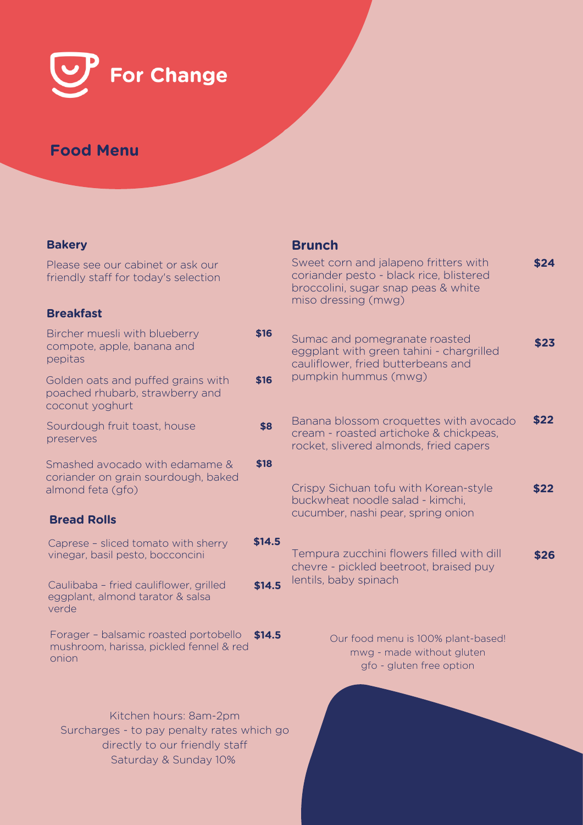

# **Food Menu**

## **Bakery**

Please see our cabinet or ask our friendly staff for today's selection

## **Breakfast**

| Bircher muesli with blueberry<br>compote, apple, banana and<br>pepitas                     | \$16 |
|--------------------------------------------------------------------------------------------|------|
| Golden oats and puffed grains with<br>poached rhubarb, strawberry and<br>coconut yoghurt   | \$16 |
| Sourdough fruit toast, house<br>preserves                                                  | \$8  |
| Smashed avocado with edamame &<br>coriander on grain sourdough, baked<br>almond feta (gfo) | \$18 |
| <b>Bread Rolls</b>                                                                         |      |
| Caproso - slicod tomato with shorry                                                        |      |

Caprese – sliced tomato with sherry vinegar, basil pesto, bocconcini

Caulibaba – fried cauliflower, grilled eggplant, almond tarator & salsa verde

Forager – balsamic roasted portobello **\$14.5** mushroom, harissa, pickled fennel & red onion

Kitchen hours: 8am-2pm Surcharges - to pay penalty rates which directly to our friendly staff Saturday & Sunday 10%

## **Brunch**

|                  | Sweet corn and jalapeno fritters with<br>coriander pesto - black rice, blistered<br>broccolini, sugar snap peas & white<br>miso dressing (mwg) | \$24 |
|------------------|------------------------------------------------------------------------------------------------------------------------------------------------|------|
| \$16<br>\$16     | Sumac and pomegranate roasted<br>eggplant with green tahini - chargrilled<br>cauliflower, fried butterbeans and<br>pumpkin hummus (mwg)        | \$23 |
| \$8              | Banana blossom croquettes with avocado<br>cream - roasted artichoke & chickpeas,<br>rocket, slivered almonds, fried capers                     | \$22 |
| \$18             | Crispy Sichuan tofu with Korean-style<br>buckwheat noodle salad - kimchi,<br>cucumber, nashi pear, spring onion                                | \$22 |
| \$14.5<br>\$14.5 | Tempura zucchini flowers filled with dill<br>chevre - pickled beetroot, braised puy<br>lentils, baby spinach                                   | \$26 |
| \$14.5           | Our food menu is 100% plant-based!<br>mwg - made without gluten<br>gfo - gluten free option                                                    |      |
| iich go          |                                                                                                                                                |      |